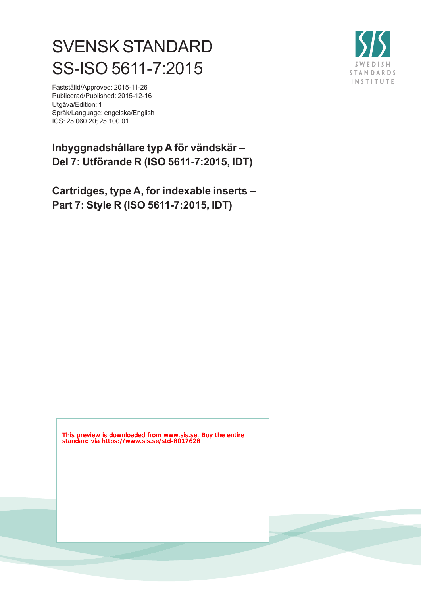# SVENSK STANDARD SS-ISO 5611-7:2015

Fastställd/Approved: 2015-11-26 Publicerad/Published: 2015-12-16 Utgåva/Edition: 1 Språk/Language: engelska/English ICS: 25.060.20; 25.100.01



**Inbyggnadshållare typ A för vändskär – Del 7: Utförande R (ISO 5611-7:2015, IDT)**

**Cartridges, type A, for indexable inserts – Part 7: Style R (ISO 5611-7:2015, IDT)**

This preview is downloaded from www.sis.se. Buy the entire standard via https://www.sis.se/std-8017628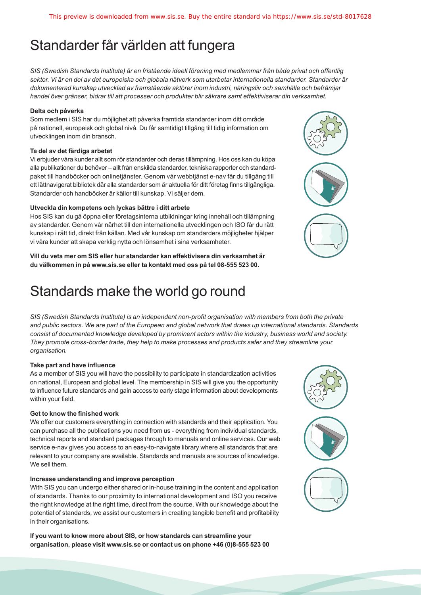# Standarder får världen att fungera

*SIS (Swedish Standards Institute) är en fristående ideell förening med medlemmar från både privat och offentlig sektor. Vi är en del av det europeiska och globala nätverk som utarbetar internationella standarder. Standarder är dokumenterad kunskap utvecklad av framstående aktörer inom industri, näringsliv och samhälle och befrämjar handel över gränser, bidrar till att processer och produkter blir säkrare samt effektiviserar din verksamhet.* 

#### **Delta och påverka**

Som medlem i SIS har du möjlighet att påverka framtida standarder inom ditt område på nationell, europeisk och global nivå. Du får samtidigt tillgång till tidig information om utvecklingen inom din bransch.

#### **Ta del av det färdiga arbetet**

Vi erbjuder våra kunder allt som rör standarder och deras tillämpning. Hos oss kan du köpa alla publikationer du behöver – allt från enskilda standarder, tekniska rapporter och standardpaket till handböcker och onlinetjänster. Genom vår webbtjänst e-nav får du tillgång till ett lättnavigerat bibliotek där alla standarder som är aktuella för ditt företag finns tillgängliga. Standarder och handböcker är källor till kunskap. Vi säljer dem.

#### **Utveckla din kompetens och lyckas bättre i ditt arbete**

Hos SIS kan du gå öppna eller företagsinterna utbildningar kring innehåll och tillämpning av standarder. Genom vår närhet till den internationella utvecklingen och ISO får du rätt kunskap i rätt tid, direkt från källan. Med vår kunskap om standarders möjligheter hjälper vi våra kunder att skapa verklig nytta och lönsamhet i sina verksamheter.

**Vill du veta mer om SIS eller hur standarder kan effektivisera din verksamhet är du välkommen in på www.sis.se eller ta kontakt med oss på tel 08-555 523 00.**

# Standards make the world go round

*SIS (Swedish Standards Institute) is an independent non-profit organisation with members from both the private and public sectors. We are part of the European and global network that draws up international standards. Standards consist of documented knowledge developed by prominent actors within the industry, business world and society. They promote cross-border trade, they help to make processes and products safer and they streamline your organisation.*

#### **Take part and have influence**

As a member of SIS you will have the possibility to participate in standardization activities on national, European and global level. The membership in SIS will give you the opportunity to influence future standards and gain access to early stage information about developments within your field.

#### **Get to know the finished work**

We offer our customers everything in connection with standards and their application. You can purchase all the publications you need from us - everything from individual standards, technical reports and standard packages through to manuals and online services. Our web service e-nav gives you access to an easy-to-navigate library where all standards that are relevant to your company are available. Standards and manuals are sources of knowledge. We sell them.

#### **Increase understanding and improve perception**

With SIS you can undergo either shared or in-house training in the content and application of standards. Thanks to our proximity to international development and ISO you receive the right knowledge at the right time, direct from the source. With our knowledge about the potential of standards, we assist our customers in creating tangible benefit and profitability in their organisations.

**If you want to know more about SIS, or how standards can streamline your organisation, please visit www.sis.se or contact us on phone +46 (0)8-555 523 00**



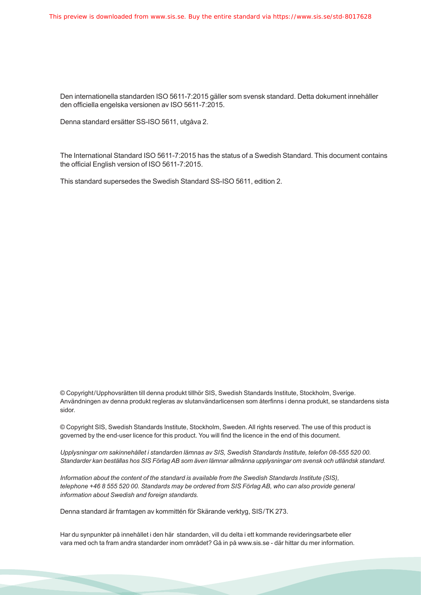Den internationella standarden ISO 5611-7:2015 gäller som svensk standard. Detta dokument innehåller den officiella engelska versionen av ISO 5611-7:2015.

Denna standard ersätter SS-ISO 5611, utgåva 2.

The International Standard ISO 5611-7:2015 has the status of a Swedish Standard. This document contains the official English version of ISO 5611-7:2015.

This standard supersedes the Swedish Standard SS-ISO 5611, edition 2.

© Copyright / Upphovsrätten till denna produkt tillhör SIS, Swedish Standards Institute, Stockholm, Sverige. Användningen av denna produkt regleras av slutanvändarlicensen som återfinns i denna produkt, se standardens sista sidor.

© Copyright SIS, Swedish Standards Institute, Stockholm, Sweden. All rights reserved. The use of this product is governed by the end-user licence for this product. You will find the licence in the end of this document.

*Upplysningar om sakinnehållet i standarden lämnas av SIS, Swedish Standards Institute, telefon 08-555 520 00. Standarder kan beställas hos SIS Förlag AB som även lämnar allmänna upplysningar om svensk och utländsk standard.*

*Information about the content of the standard is available from the Swedish Standards Institute (SIS), telephone +46 8 555 520 00. Standards may be ordered from SIS Förlag AB, who can also provide general information about Swedish and foreign standards.*

Denna standard är framtagen av kommittén för Skärande verktyg, SIS / TK 273.

Har du synpunkter på innehållet i den här standarden, vill du delta i ett kommande revideringsarbete eller vara med och ta fram andra standarder inom området? Gå in på www.sis.se - där hittar du mer information.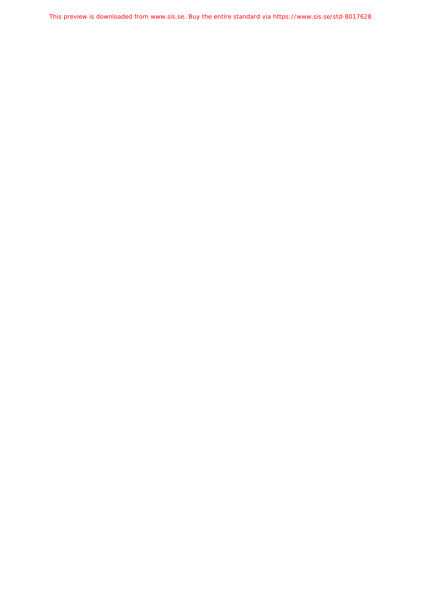This preview is downloaded from www.sis.se. Buy the entire standard via https://www.sis.se/std-8017628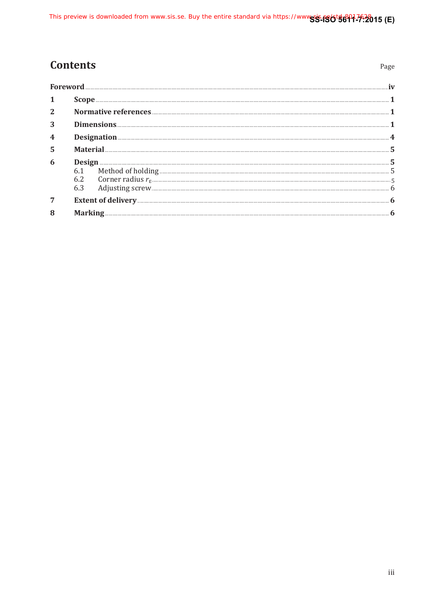# **Contents**

| Foreword       |                                                   |
|----------------|---------------------------------------------------|
| $\mathbf{1}$   |                                                   |
| $\overline{2}$ |                                                   |
| 3              |                                                   |
|                |                                                   |
| 5              |                                                   |
| 6              |                                                   |
|                | Method of holding<br>Corner radius $r_{\epsilon}$ |
| 7              | Extent of delivery <b>Extent of delivery</b>      |
| 8              |                                                   |

Page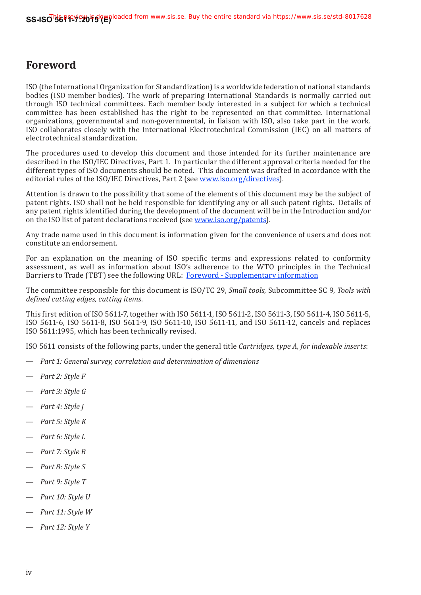### <span id="page-5-0"></span>**Foreword**

ISO (the International Organization for Standardization) is a worldwide federation of national standards bodies (ISO member bodies). The work of preparing International Standards is normally carried out through ISO technical committees. Each member body interested in a subject for which a technical committee has been established has the right to be represented on that committee. International organizations, governmental and non-governmental, in liaison with ISO, also take part in the work. ISO collaborates closely with the International Electrotechnical Commission (IEC) on all matters of electrotechnical standardization.

The procedures used to develop this document and those intended for its further maintenance are described in the ISO/IEC Directives, Part 1. In particular the different approval criteria needed for the different types of ISO documents should be noted. This document was drafted in accordance with the editorial rules of the ISO/IEC Directives, Part 2 (see [www.iso.org/directives\)](http://www.iso.org/directives).

Attention is drawn to the possibility that some of the elements of this document may be the subject of patent rights. ISO shall not be held responsible for identifying any or all such patent rights. Details of any patent rights identified during the development of the document will be in the Introduction and/or on the ISO list of patent declarations received (see [www.iso.org/patents](http://www.iso.org/patents)).

Any trade name used in this document is information given for the convenience of users and does not constitute an endorsement.

For an explanation on the meaning of ISO specific terms and expressions related to conformity assessment, as well as information about ISO's adherence to the WTO principles in the Technical Barriers to Trade (TBT) see the following URL: [Foreword - Supplementary information](http://www.iso.org/iso/home/standards_development/resources-for-technical-work/foreword.htm)

The committee responsible for this document is ISO/TC 29, *Small tools*, Subcommittee SC 9, *Tools with defined cutting edges, cutting items*.

This first edition of ISO 5611-7, together with ISO 5611-1, ISO 5611-2, ISO 5611-3, ISO 5611-4, ISO 5611-5, ISO 5611-6, ISO 5611-8, ISO 5611-9, ISO 5611-10, ISO 5611-11, and ISO 5611-12, cancels and replaces ISO 5611:1995, which has been technically revised.

ISO 5611 consists of the following parts, under the general title *Cartridges, type A, for indexable inserts*:

- *Part 1: General survey, correlation and determination of dimensions*
- *Part 2: Style F*
- *Part 3: Style G*
- *Part 4: Style J*
- *Part 5: Style K*
- *Part 6: Style L*
- *Part 7: Style R*
- *Part 8: Style S*
- *Part 9: Style T*
- *Part 10: Style U*
- *Part 11: Style W*
- *Part 12: Style Y*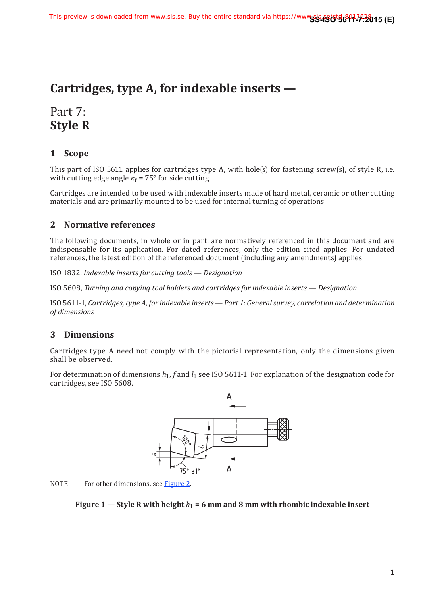# <span id="page-6-0"></span>**Cartridges, type A, for indexable inserts —**

### Part 7: **Style R**

### **1 Scope**

This part of ISO 5611 applies for cartridges type A, with hole(s) for fastening screw(s), of style R, i.e. with cutting edge angle  $\kappa_r$  = 75° for side cutting.

Cartridges are intended to be used with indexable inserts made of hard metal, ceramic or other cutting materials and are primarily mounted to be used for internal turning of operations.

### **2 Normative references**

The following documents, in whole or in part, are normatively referenced in this document and are indispensable for its application. For dated references, only the edition cited applies. For undated references, the latest edition of the referenced document (including any amendments) applies.

ISO 1832, *Indexable inserts for cutting tools — Designation*

ISO 5608, *Turning and copying tool holders and cartridges for indexable inserts — Designation*

ISO 5611-1, *Cartridges, type A, for indexable inserts — Part 1: General survey, correlation and determination of dimensions*

### **3 Dimensions**

Cartridges type A need not comply with the pictorial representation, only the dimensions given shall be observed.

For determination of dimensions *h*1, *f* and *l*1 see ISO 5611-1. For explanation of the designation code for cartridges, see ISO 5608.



NOTE For other dimensions, see [Figure](#page-7-0) 2.

**Figure** 1 — Style R with height  $h_1 = 6$  mm and 8 mm with rhombic indexable insert